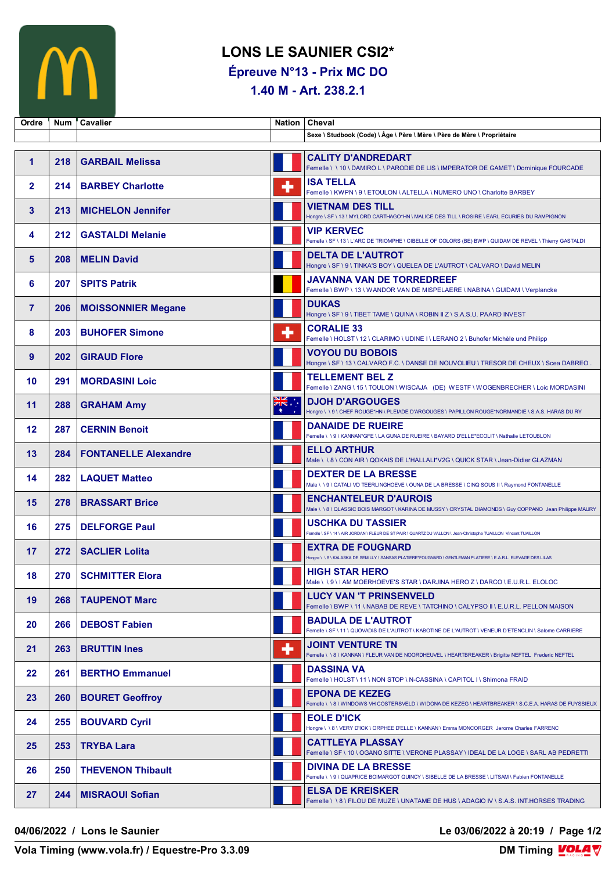

## **LONS LE SAUNIER CSI2\***

**Épreuve N°13 - Prix MC DO**

**1.40 M - Art. 238.2.1**

| Ordre          | <b>Num</b> | <b>Cavalier</b>             | <b>Nation</b>   | <b>Cheval</b>                                                                                                                                |
|----------------|------------|-----------------------------|-----------------|----------------------------------------------------------------------------------------------------------------------------------------------|
|                |            |                             |                 | Sexe \ Studbook (Code) \ Âge \ Père \ Mère \ Père de Mère \ Propriétaire                                                                     |
| 1              | 218        | <b>GARBAIL Melissa</b>      |                 | <b>CALITY D'ANDREDART</b><br>Femelle \\10\DAMIRO L\PARODIE DE LIS\IMPERATOR DE GAMET\Dominique FOURCADE                                      |
| $\mathbf{2}$   | 214        | <b>BARBEY Charlotte</b>     | ٠               | <b>ISA TELLA</b><br>Femelle \ KWPN \ 9 \ ETOULON \ ALTELLA \ NUMERO UNO \ Charlotte BARBEY                                                   |
| 3              | 213        | <b>MICHELON Jennifer</b>    |                 | <b>VIETNAM DES TILL</b><br>Hongre \ SF \ 13 \ MYLORD CARTHAGO*HN \ MALICE DES TILL \ ROSIRE \ EARL ECURIES DU RAMPIGNON                      |
| 4              | 212        | <b>GASTALDI Melanie</b>     |                 | <b>VIP KERVEC</b><br>Femelle \ SF \ 13 \ L'ARC DE TRIOMPHE \ CIBELLE OF COLORS (BE) BWP \ QUIDAM DE REVEL \ Thierry GASTALDI                 |
| 5              | 208        | <b>MELIN David</b>          |                 | <b>DELTA DE L'AUTROT</b><br>Hongre \ SF \ 9 \ TINKA'S BOY \ QUELEA DE L'AUTROT \ CALVARO \ David MELIN                                       |
| 6              | 207        | <b>SPITS Patrik</b>         |                 | <b>JAVANNA VAN DE TORREDREEF</b><br>Femelle \ BWP \ 13 \ WANDOR VAN DE MISPELAERE \ NABINA \ GUIDAM \ Verplancke                             |
| $\overline{7}$ | 206        | <b>MOISSONNIER Megane</b>   |                 | <b>DUKAS</b><br>Hongre \ SF \ 9 \ TIBET TAME \ QUINA \ ROBIN II Z \ S.A.S.U. PAARD INVEST                                                    |
| 8              | 203        | <b>BUHOFER Simone</b>       | ٠               | <b>CORALIE 33</b><br>Femelle \ HOLST \ 12 \ CLARIMO \ UDINE I \ LERANO 2 \ Buhofer Michèle und Philipp                                       |
| 9              | 202        | <b>GIRAUD Flore</b>         |                 | <b>VOYOU DU BOBOIS</b><br>Hongre \ SF \ 13 \ CALVARO F.C. \ DANSE DE NOUVOLIEU \ TRESOR DE CHEUX \ Scea DABREO .                             |
| 10             | 291        | <b>MORDASINI Loic</b>       |                 | <b>TELLEMENT BEL Z</b><br>Femelle \ ZANG \ 15 \ TOULON \ WISCAJA (DE) WESTF \ WOGENBRECHER \ Loic MORDASINI                                  |
| 11             | 288        | <b>GRAHAM Amy</b>           | ÷, ak<br>$\ast$ | <b>DJOH D'ARGOUGES</b><br>Hongre \\9\CHEF ROUGE*HN\PLEIADE D'ARGOUGES \PAPILLON ROUGE*NORMANDIE \S.A.S. HARAS DU RY                          |
| 12             | 287        | <b>CERNIN Benoit</b>        |                 | <b>DANAIDE DE RUEIRE</b><br>Femelle \\9\KANNAN*GFE\LA GUNA DE RUEIRE\BAYARD D'ELLE*ECOLIT \Nathalie LETOUBLON                                |
| 13             | 284        | <b>FONTANELLE Alexandre</b> |                 | <b>ELLO ARTHUR</b><br>Male \ \ 8 \ CON AIR \ QOKAIS DE L'HALLALI*V2G \ QUICK STAR \ Jean-Didier GLAZMAN                                      |
| 14             | 282        | <b>LAQUET Matteo</b>        |                 | <b>DEXTER DE LA BRESSE</b><br>Male \\9\CATALI VD TEERLINGHOEVE \OUNA DE LA BRESSE \CINQ SOUS II \ Raymond FONTANELLE                         |
| 15             | 278        | <b>BRASSART Brice</b>       |                 | <b>ENCHANTELEUR D'AUROIS</b><br>Male \ \ 8 \ QLASSIC BOIS MARGOT \ KARINA DE MUSSY \ CRYSTAL DIAMONDS \ Guy COPPANO Jean Philippe MAURY      |
| 16             | 275        | <b>DELFORGE Paul</b>        |                 | <b>USCHKA DU TASSIER</b><br>Femelle \ SF \ 14 \ AIR JORDAN \ FLEUR DE ST PAIR \ QUARTZ DU VALLON \ Jean-Christophe TUAILLON Vincent TUAILLON |
| 17             | 272        | <b>SACLIER Lolita</b>       |                 | <b>EXTRA DE FOUGNARD</b><br>Hongre \\8\KALASKA DE SEMILLY\SANSAS PLATIERE*FOUGNARD\GENTLEMAN PLATIERE\E.A.R.L. ELEVAGE DES LILAS             |
| 18             | 270 -      | <b>SCHMITTER Elora</b>      |                 | <b>HIGH STAR HERO</b><br>Male \\9\IAM MOERHOEVE'S STAR \DARJINA HERO Z \DARCO \ E.U.R.L. ELOLOC                                              |
| 19             | 268        | <b>TAUPENOT Marc</b>        |                 | <b>LUCY VAN 'T PRINSENVELD</b><br>Femelle \ BWP \ 11 \ NABAB DE REVE \ TATCHINO \ CALYPSO II \ E.U.R.L. PELLON MAISON                        |
| 20             | 266        | <b>DEBOST Fabien</b>        |                 | <b>BADULA DE L'AUTROT</b><br>Femelle \ SF \ 11 \ QUOVADIS DE L'AUTROT \ KABOTINE DE L'AUTROT \ VENEUR D'ETENCLIN \ Salome CARRIERE           |
| 21             | 263        | <b>BRUTTIN Ines</b>         | ٠               | <b>JOINT VENTURE TN</b><br>Femelle \ \ 8 \ KANNAN \ FLEUR VAN DE NOORDHEUVEL \ HEARTBREAKER \ Brigitte NEFTEL Frederic NEFTEL                |
| 22             | 261        | <b>BERTHO Emmanuel</b>      |                 | <b>DASSINA VA</b><br>Femelle \HOLST\11\NON STOP \N-CASSINA \CAPITOL I \ Shimona FRAID                                                        |
| 23             | 260        | <b>BOURET Geoffroy</b>      |                 | <b>EPONA DE KEZEG</b><br>Femelle \\8\WINDOWS VH COSTERSVELD \WIDONA DE KEZEG \HEARTBREAKER \S.C.E.A. HARAS DE FUYSSIEUX                      |
| 24             | 255        | <b>BOUVARD Cyril</b>        |                 | <b>EOLE D'ICK</b><br>Hongre \ \ 8 \ VERY D'ICK \ ORPHEE D'ELLE \ KANNAN \ Emma MONCORGER Jerome Charles FARRENC                              |
| 25             | 253        | <b>TRYBA Lara</b>           |                 | <b>CATTLEYA PLASSAY</b><br>Femelle \ SF \ 10 \ OGANO SITTE \ VERONE PLASSAY \ IDEAL DE LA LOGE \ SARL AB PEDRETTI                            |
| 26             | 250        | <b>THEVENON Thibault</b>    |                 | <b>DIVINA DE LA BRESSE</b><br>Femelle \ \ 9 \ QUAPRICE BOIMARGOT QUINCY \ SIBELLE DE LA BRESSE \ LITSAM \ Fabien FONTANELLE                  |
| 27             | 244        | <b>MISRAOUI Sofian</b>      |                 | <b>ELSA DE KREISKER</b><br>Femelle \\8\FILOU DE MUZE \UNATAME DE HUS \ADAGIO IV \ S.A.S. INT.HORSES TRADING                                  |

**04/06/2022 / Lons le Saunier Le 03/06/2022 à 20:19 / Page 1/2**

**Vola Timing (www.vola.fr) / Equestre-Pro 3.3.09**